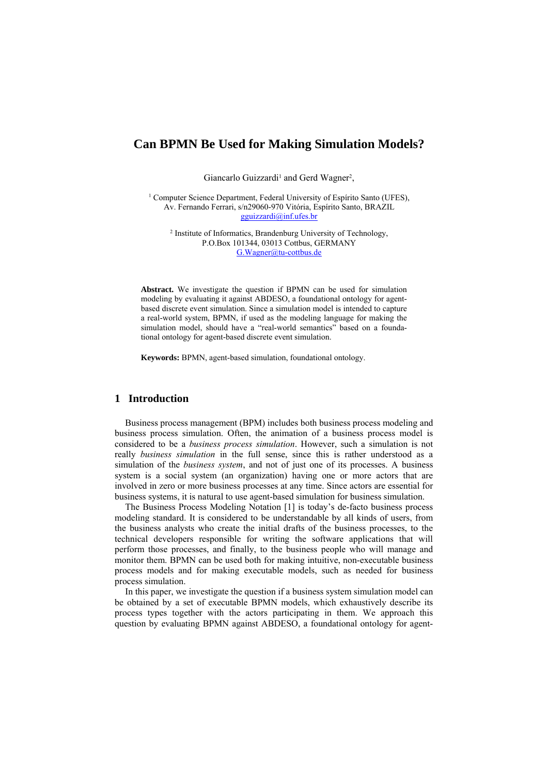# **Can BPMN Be Used for Making Simulation Models?**

Giancarlo Guizzardi<sup>1</sup> and Gerd Wagner<sup>2</sup>,

<sup>1</sup> Computer Science Department, Federal University of Espírito Santo (UFES), Av. Fernando Ferrari, s/n29060-970 Vitória, Espírito Santo, BRAZIL [gguizzardi@inf.ufes.br](mailto:gguizzardi@inf.ufes.br)

2 Institute of Informatics, Brandenburg University of Technology, P.O.Box 101344, 03013 Cottbus, GERMANY [G.Wagner@tu-cottbus.de](mailto:G.Wagner@tu-cottbus.de)

**Abstract.** We investigate the question if BPMN can be used for simulation modeling by evaluating it against ABDESO, a foundational ontology for agentbased discrete event simulation. Since a simulation model is intended to capture a real-world system, BPMN, if used as the modeling language for making the simulation model, should have a "real-world semantics" based on a foundational ontology for agent-based discrete event simulation.

**Keywords:** BPMN, agent-based simulation, foundational ontology.

# **1 Introduction**

Business process management (BPM) includes both business process modeling and business process simulation. Often, the animation of a business process model is considered to be a *business process simulation*. However, such a simulation is not really *business simulation* in the full sense, since this is rather understood as a simulation of the *business system*, and not of just one of its processes. A business system is a social system (an organization) having one or more actors that are involved in zero or more business processes at any time. Since actors are essential for business systems, it is natural to use agent-based simulation for business simulation.

The Business Process Modeling Notation [1] is today's de-facto business process modeling standard. It is considered to be understandable by all kinds of users, from the business analysts who create the initial drafts of the business processes, to the technical developers responsible for writing the software applications that will perform those processes, and finally, to the business people who will manage and monitor them. BPMN can be used both for making intuitive, non-executable business process models and for making executable models, such as needed for business process simulation.

In this paper, we investigate the question if a business system simulation model can be obtained by a set of executable BPMN models, which exhaustively describe its process types together with the actors participating in them. We approach this question by evaluating BPMN against ABDESO, a foundational ontology for agent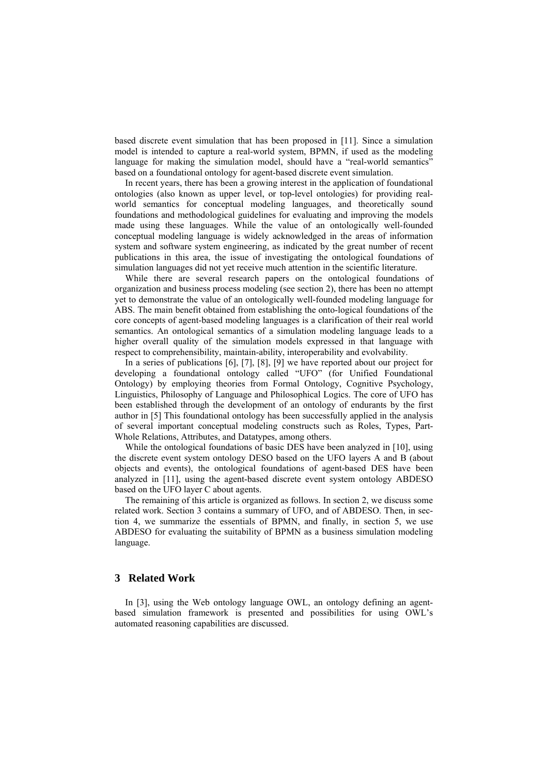based discrete event simulation that has been proposed in [11]. Since a simulation model is intended to capture a real-world system, BPMN, if used as the modeling language for making the simulation model, should have a "real-world semantics" based on a foundational ontology for agent-based discrete event simulation.

In recent years, there has been a growing interest in the application of foundational ontologies (also known as upper level, or top-level ontologies) for providing realworld semantics for conceptual modeling languages, and theoretically sound foundations and methodological guidelines for evaluating and improving the models made using these languages. While the value of an ontologically well-founded conceptual modeling language is widely acknowledged in the areas of information system and software system engineering, as indicated by the great number of recent publications in this area, the issue of investigating the ontological foundations of simulation languages did not yet receive much attention in the scientific literature.

While there are several research papers on the ontological foundations of organization and business process modeling (see section 2), there has been no attempt yet to demonstrate the value of an ontologically well-founded modeling language for ABS. The main benefit obtained from establishing the onto-logical foundations of the core concepts of agent-based modeling languages is a clarification of their real world semantics. An ontological semantics of a simulation modeling language leads to a higher overall quality of the simulation models expressed in that language with respect to comprehensibility, maintain-ability, interoperability and evolvability.

In a series of publications [6], [7], [8], [9] we have reported about our project for developing a foundational ontology called "UFO" (for Unified Foundational Ontology) by employing theories from Formal Ontology, Cognitive Psychology, Linguistics, Philosophy of Language and Philosophical Logics. The core of UFO has been established through the development of an ontology of endurants by the first author in [5] This foundational ontology has been successfully applied in the analysis of several important conceptual modeling constructs such as Roles, Types, Part-Whole Relations, Attributes, and Datatypes, among others.

While the ontological foundations of basic DES have been analyzed in [10], using the discrete event system ontology DESO based on the UFO layers A and B (about objects and events), the ontological foundations of agent-based DES have been analyzed in [11], using the agent-based discrete event system ontology ABDESO based on the UFO layer C about agents.

The remaining of this article is organized as follows. In section 2, we discuss some related work. Section 3 contains a summary of UFO, and of ABDESO. Then, in section 4, we summarize the essentials of BPMN, and finally, in section 5, we use ABDESO for evaluating the suitability of BPMN as a business simulation modeling language.

# **3 Related Work**

In [3], using the Web ontology language OWL, an ontology defining an agentbased simulation framework is presented and possibilities for using OWL's automated reasoning capabilities are discussed.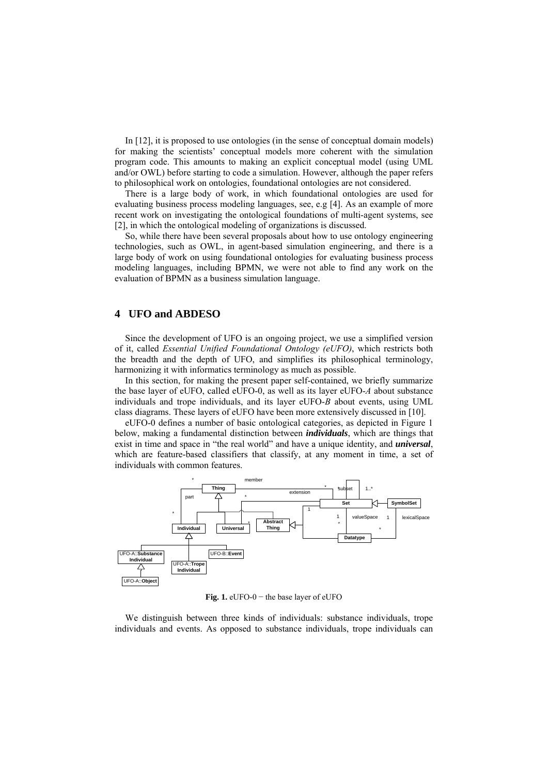In [12], it is proposed to use ontologies (in the sense of conceptual domain models) for making the scientists' conceptual models more coherent with the simulation program code. This amounts to making an explicit conceptual model (using UML and/or OWL) before starting to code a simulation. However, although the paper refers to philosophical work on ontologies, foundational ontologies are not considered.

There is a large body of work, in which foundational ontologies are used for evaluating business process modeling languages, see, e.g [4]. As an example of more recent work on investigating the ontological foundations of multi-agent systems, see [2], in which the ontological modeling of organizations is discussed.

So, while there have been several proposals about how to use ontology engineering technologies, such as OWL, in agent-based simulation engineering, and there is a large body of work on using foundational ontologies for evaluating business process modeling languages, including BPMN, we were not able to find any work on the evaluation of BPMN as a business simulation language.

### **4 UFO and ABDESO**

Since the development of UFO is an ongoing project, we use a simplified version of it, called *Essential Unified Foundational Ontology (eUFO)*, which restricts both the breadth and the depth of UFO, and simplifies its philosophical terminology, harmonizing it with informatics terminology as much as possible.

In this section, for making the present paper self-contained, we briefly summarize the base layer of eUFO, called eUFO-0, as well as its layer eUFO-*A* about substance individuals and trope individuals, and its layer eUFO-*B* about events, using UML class diagrams. These layers of eUFO have been more extensively discussed in [10].

eUFO-0 defines a number of basic ontological categories, as depicted in Figure 1 below, making a fundamental distinction between *individuals*, which are things that exist in time and space in "the real world" and have a unique identity, and *universal*, which are feature-based classifiers that classify, at any moment in time, a set of individuals with common features.



**Fig. 1.** eUFO-0 − the base layer of eUFO

We distinguish between three kinds of individuals: substance individuals, trope individuals and events. As opposed to substance individuals, trope individuals can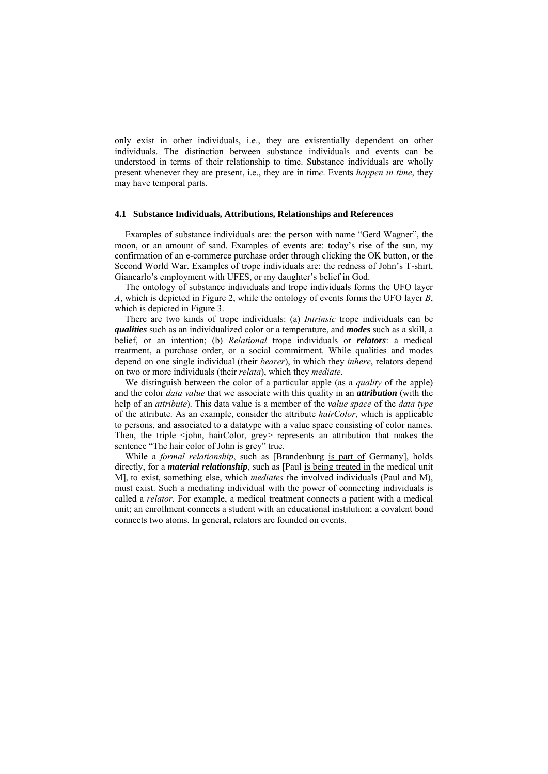only exist in other individuals, i.e., they are existentially dependent on other individuals. The distinction between substance individuals and events can be understood in terms of their relationship to time. Substance individuals are wholly present whenever they are present, i.e., they are in tim*e*. Events *happen in time*, they may have temporal parts.

#### **4.1 Substance Individuals, Attributions, Relationships and References**

Examples of substance individuals are: the person with name "Gerd Wagner", the moon, or an amount of sand. Examples of events are: today's rise of the sun, my confirmation of an e-commerce purchase order through clicking the OK button, or the Second World War. Examples of trope individuals are: the redness of John's T-shirt, Giancarlo's employment with UFES, or my daughter's belief in God.

The ontology of substance individuals and trope individuals forms the UFO layer *A*, which is depicted in Figure 2, while the ontology of events forms the UFO layer *B*, which is depicted in Figure 3.

There are two kinds of trope individuals: (a) *Intrinsic* trope individuals can be *qualities* such as an individualized color or a temperature, and *modes* such as a skill, a belief, or an intention; (b) *Relational* trope individuals or *relators*: a medical treatment, a purchase order, or a social commitment. While qualities and modes depend on one single individual (their *bearer*), in which they *inhere*, relators depend on two or more individuals (their *relata*), which they *mediate*.

We distinguish between the color of a particular apple (as a *quality* of the apple) and the color *data value* that we associate with this quality in an *attribution* (with the help of an *attribute*). This data value is a member of the *value space* of the *data type* of the attribute. As an example, consider the attribute *hairColor*, which is applicable to persons, and associated to a datatype with a value space consisting of color names. Then, the triple <john, hairColor, grey> represents an attribution that makes the sentence "The hair color of John is grey" true.

While a *formal relationship*, such as [Brandenburg is part of Germany], holds directly, for a *material relationship*, such as [Paul is being treated in the medical unit M], to exist, something else, which *mediates* the involved individuals (Paul and M), must exist. Such a mediating individual with the power of connecting individuals is called a *relator*. For example, a medical treatment connects a patient with a medical unit; an enrollment connects a student with an educational institution; a covalent bond connects two atoms. In general, relators are founded on events.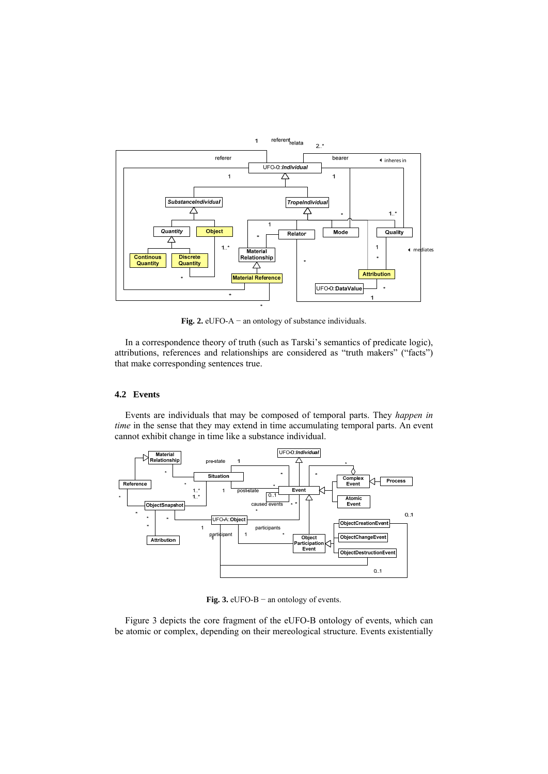

**Fig. 2.** eUFO-A − an ontology of substance individuals.

In a correspondence theory of truth (such as Tarski's semantics of predicate logic), attributions, references and relationships are considered as "truth makers" ("facts") that make corresponding sentences true.

#### **4.2 Events**

Events are individuals that may be composed of temporal parts. They *happen in time* in the sense that they may extend in time accumulating temporal parts. An event cannot exhibit change in time like a substance individual.



**Fig. 3.** eUFO-B − an ontology of events.

Figure 3 depicts the core fragment of the eUFO-B ontology of events, which can be atomic or complex, depending on their mereological structure. Events existentially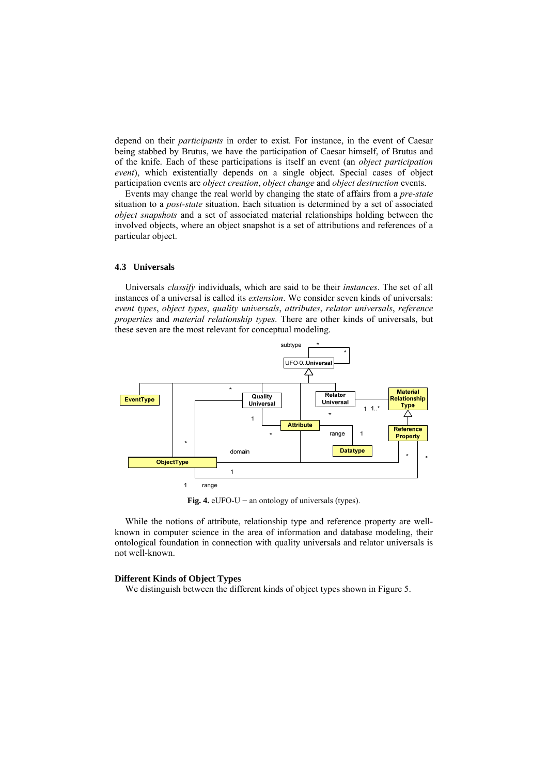depend on their *participants* in order to exist. For instance, in the event of Caesar being stabbed by Brutus, we have the participation of Caesar himself, of Brutus and of the knife. Each of these participations is itself an event (an *object participation event*), which existentially depends on a single object. Special cases of object participation events are *object creation*, *object change* and *object destruction* events.

Events may change the real world by changing the state of affairs from a *pre-state* situation to a *post-state* situation. Each situation is determined by a set of associated *object snapshots* and a set of associated material relationships holding between the involved objects, where an object snapshot is a set of attributions and references of a particular object.

## **4.3 Universals**

Universals *classify* individuals, which are said to be their *instances*. The set of all instances of a universal is called its *extension*. We consider seven kinds of universals: *event types*, *object types*, *quality universals*, *attributes*, *relator universals*, *reference properties* and *material relationship types*. There are other kinds of universals, but these seven are the most relevant for conceptual modeling.



**Fig. 4.** eUFO-U – an ontology of universals (types).

While the notions of attribute, relationship type and reference property are wellknown in computer science in the area of information and database modeling, their ontological foundation in connection with quality universals and relator universals is not well-known.

#### **Different Kinds of Object Types**

We distinguish between the different kinds of object types shown in Figure 5.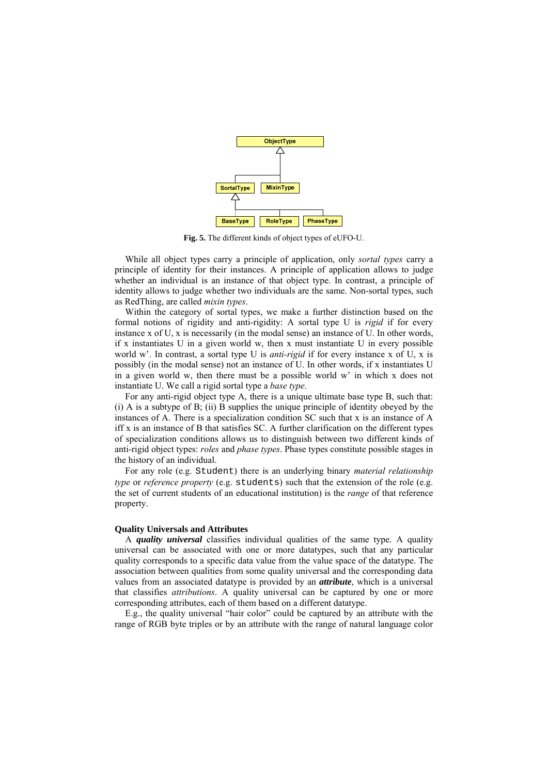

**Fig. 5.** The different kinds of object types of eUFO-U.

While all object types carry a principle of application, only *sortal types* carry a principle of identity for their instances. A principle of application allows to judge whether an individual is an instance of that object type. In contrast, a principle of identity allows to judge whether two individuals are the same. Non-sortal types, such as RedThing, are called *mixin types*.

Within the category of sortal types, we make a further distinction based on the formal notions of rigidity and anti-rigidity: A sortal type U is *rigid* if for every instance x of U, x is necessarily (in the modal sense) an instance of U. In other words, if x instantiates U in a given world w, then x must instantiate U in every possible world w'. In contrast, a sortal type U is *anti-rigid* if for every instance x of U, x is possibly (in the modal sense) not an instance of U. In other words, if x instantiates U in a given world w, then there must be a possible world w' in which x does not instantiate U. We call a rigid sortal type a *base type*.

For any anti-rigid object type A, there is a unique ultimate base type B, such that: (i) A is a subtype of B; (ii) B supplies the unique principle of identity obeyed by the instances of A. There is a specialization condition SC such that x is an instance of A iff x is an instance of B that satisfies SC. A further clarification on the different types of specialization conditions allows us to distinguish between two different kinds of anti-rigid object types: *roles* and *phase types*. Phase types constitute possible stages in the history of an individual.

For any role (e.g. Student) there is an underlying binary *material relationship type* or *reference property* (e.g. students) such that the extension of the role (e.g. the set of current students of an educational institution) is the *range* of that reference property.

### **Quality Universals and Attributes**

A *quality universal* classifies individual qualities of the same type. A quality universal can be associated with one or more datatypes, such that any particular quality corresponds to a specific data value from the value space of the datatype. The association between qualities from some quality universal and the corresponding data values from an associated datatype is provided by an *attribute*, which is a universal that classifies *attributions*. A quality universal can be captured by one or more corresponding attributes, each of them based on a different datatype.

E.g., the quality universal "hair color" could be captured by an attribute with the range of RGB byte triples or by an attribute with the range of natural language color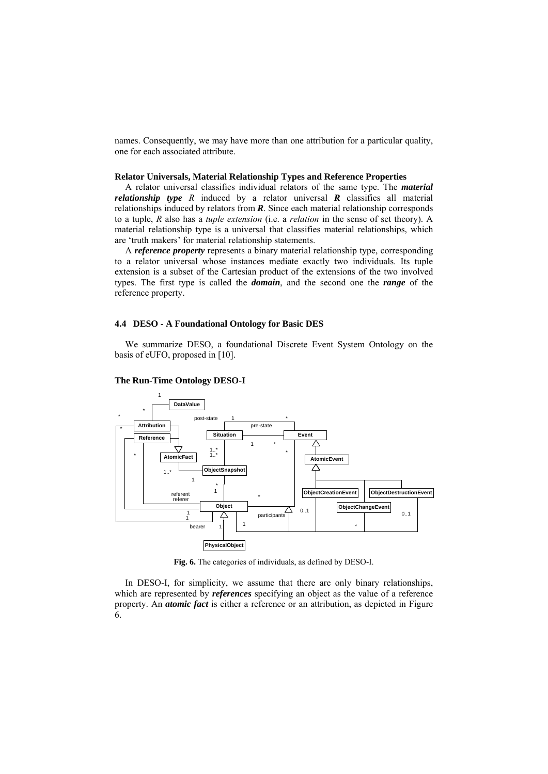names. Consequently, we may have more than one attribution for a particular quality, one for each associated attribute.

### **Relator Universals, Material Relationship Types and Reference Properties**

A relator universal classifies individual relators of the same type. The *material relationship type R* induced by a relator universal *R* classifies all material relationships induced by relators from *R*. Since each material relationship corresponds to a tuple, *R* also has a *tuple extension* (i.e. a *relation* in the sense of set theory). A material relationship type is a universal that classifies material relationships, which are 'truth makers' for material relationship statements.

A *reference property* represents a binary material relationship type, corresponding to a relator universal whose instances mediate exactly two individuals. Its tuple extension is a subset of the Cartesian product of the extensions of the two involved types. The first type is called the *domain*, and the second one the *range* of the reference property.

#### **4.4 DESO - A Foundational Ontology for Basic DES**

We summarize DESO, a foundational Discrete Event System Ontology on the basis of eUFO, proposed in [10].



**The Run-Time Ontology DESO-I** 

**Fig. 6.** The categories of individuals, as defined by DESO-I.

In DESO-I, for simplicity, we assume that there are only binary relationships, which are represented by *references* specifying an object as the value of a reference property. An *atomic fact* is either a reference or an attribution, as depicted in Figure 6.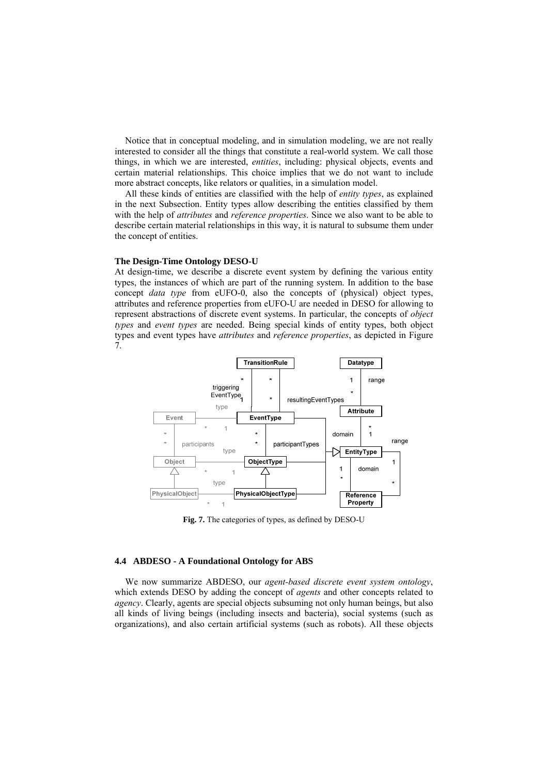Notice that in conceptual modeling, and in simulation modeling, we are not really interested to consider all the things that constitute a real-world system. We call those things, in which we are interested, *entities*, including: physical objects, events and certain material relationships. This choice implies that we do not want to include more abstract concepts, like relators or qualities, in a simulation model.

All these kinds of entities are classified with the help of *entity types*, as explained in the next Subsection. Entity types allow describing the entities classified by them with the help of *attributes* and *reference properties*. Since we also want to be able to describe certain material relationships in this way, it is natural to subsume them under the concept of entities.

### **The Design-Time Ontology DESO-U**

At design-time, we describe a discrete event system by defining the various entity types, the instances of which are part of the running system. In addition to the base concept *data type* from eUFO-0, also the concepts of (physical) object types, attributes and reference properties from eUFO-U are needed in DESO for allowing to represent abstractions of discrete event systems. In particular, the concepts of *object types* and *event types* are needed. Being special kinds of entity types, both object types and event types have *attributes* and *reference properties*, as depicted in Figure 7.



**Fig. 7.** The categories of types, as defined by DESO-U

#### **4.4 ABDESO - A Foundational Ontology for ABS**

We now summarize ABDESO, our *agent-based discrete event system ontology*, which extends DESO by adding the concept of *agents* and other concepts related to *agency*. Clearly, agents are special objects subsuming not only human beings, but also all kinds of living beings (including insects and bacteria), social systems (such as organizations), and also certain artificial systems (such as robots). All these objects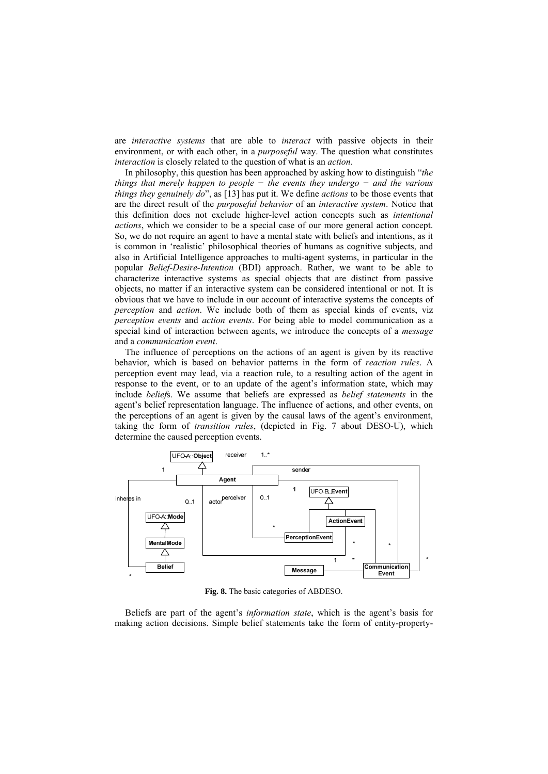are *interactive systems* that are able to *interact* with passive objects in their environment, or with each other, in a *purposeful* way. The question what constitutes *interaction* is closely related to the question of what is an *action*.

In philosophy, this question has been approached by asking how to distinguish "*the things that merely happen to people − the events they undergo − and the various things they genuinely do*", as [13] has put it. We define *actions* to be those events that are the direct result of the *purposeful behavior* of an *interactive system*. Notice that this definition does not exclude higher-level action concepts such as *intentional actions*, which we consider to be a special case of our more general action concept. So, we do not require an agent to have a mental state with beliefs and intentions, as it is common in 'realistic' philosophical theories of humans as cognitive subjects, and also in Artificial Intelligence approaches to multi-agent systems, in particular in the popular *Belief-Desire-Intention* (BDI) approach. Rather, we want to be able to characterize interactive systems as special objects that are distinct from passive objects, no matter if an interactive system can be considered intentional or not. It is obvious that we have to include in our account of interactive systems the concepts of *perception* and *action*. We include both of them as special kinds of events, viz *perception events* and *action events*. For being able to model communication as a special kind of interaction between agents, we introduce the concepts of a *message* and a *communication event*.

The influence of perceptions on the actions of an agent is given by its reactive behavior, which is based on behavior patterns in the form of *reaction rules*. A perception event may lead, via a reaction rule, to a resulting action of the agent in response to the event, or to an update of the agent's information state, which may include *belief*s. We assume that beliefs are expressed as *belief statements* in the agent's belief representation language. The influence of actions, and other events, on the perceptions of an agent is given by the causal laws of the agent's environment, taking the form of *transition rules*, (depicted in Fig. 7 about DESO-U), which determine the caused perception events.



**Fig. 8.** The basic categories of ABDESO.

Beliefs are part of the agent's *information state*, which is the agent's basis for making action decisions. Simple belief statements take the form of entity-property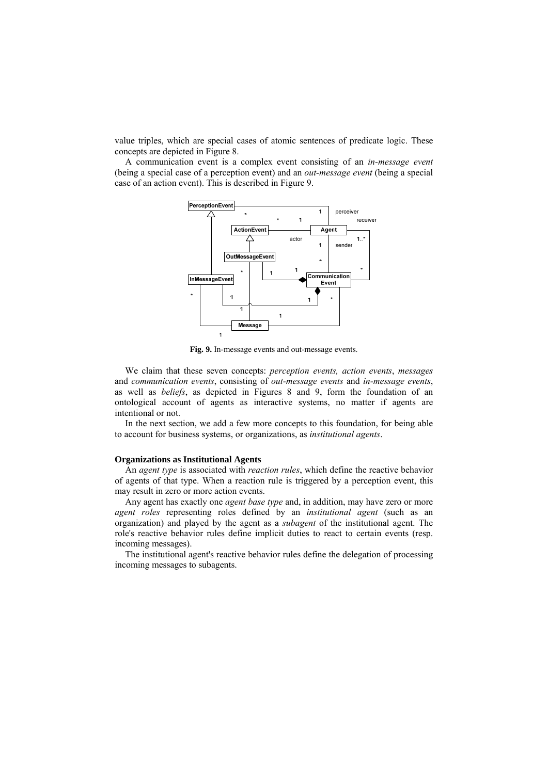value triples, which are special cases of atomic sentences of predicate logic. These concepts are depicted in Figure 8.

A communication event is a complex event consisting of an *in-message event* (being a special case of a perception event) and an *out-message event* (being a special case of an action event). This is described in Figure 9.



**Fig. 9.** In-message events and out-message events.

We claim that these seven concepts: *perception events, action events*, *messages* and *communication events*, consisting of *out-message events* and *in-message events*, as well as *beliefs*, as depicted in Figures 8 and 9, form the foundation of an ontological account of agents as interactive systems, no matter if agents are intentional or not.

In the next section, we add a few more concepts to this foundation, for being able to account for business systems, or organizations, as *institutional agents*.

### **Organizations as Institutional Agents**

An *agent type* is associated with *reaction rules*, which define the reactive behavior of agents of that type. When a reaction rule is triggered by a perception event, this may result in zero or more action events.

Any agent has exactly one *agent base type* and, in addition, may have zero or more *agent roles* representing roles defined by an *institutional agent* (such as an organization) and played by the agent as a *subagent* of the institutional agent. The role's reactive behavior rules define implicit duties to react to certain events (resp. incoming messages).

The institutional agent's reactive behavior rules define the delegation of processing incoming messages to subagents.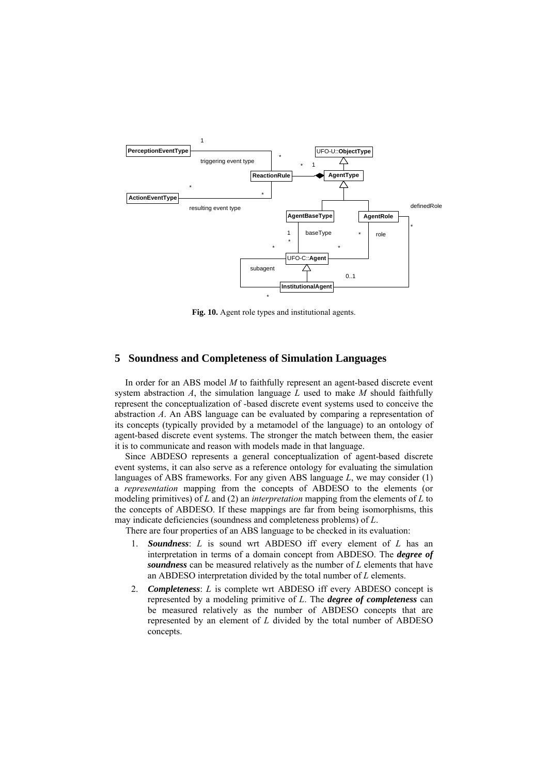

**Fig. 10.** Agent role types and institutional agents.

# **5 Soundness and Completeness of Simulation Languages**

In order for an ABS model *M* to faithfully represent an agent-based discrete event system abstraction *A*, the simulation language *L* used to make *M* should faithfully represent the conceptualization of -based discrete event systems used to conceive the abstraction *A*. An ABS language can be evaluated by comparing a representation of its concepts (typically provided by a metamodel of the language) to an ontology of agent-based discrete event systems. The stronger the match between them, the easier it is to communicate and reason with models made in that language.

Since ABDESO represents a general conceptualization of agent-based discrete event systems, it can also serve as a reference ontology for evaluating the simulation languages of ABS frameworks. For any given ABS language *L*, we may consider (1) a *representation* mapping from the concepts of ABDESO to the elements (or modeling primitives) of *L* and (2) an *interpretation* mapping from the elements of *L* to the concepts of ABDESO. If these mappings are far from being isomorphisms, this may indicate deficiencies (soundness and completeness problems) of *L*.

There are four properties of an ABS language to be checked in its evaluation:

- 1. *Soundness*: *L* is sound wrt ABDESO iff every element of *L* has an interpretation in terms of a domain concept from ABDESO. The *degree of soundness* can be measured relatively as the number of *L* elements that have an ABDESO interpretation divided by the total number of *L* elements.
- 2. *Completeness*: *L* is complete wrt ABDESO iff every ABDESO concept is represented by a modeling primitive of *L*. The *degree of completeness* can be measured relatively as the number of ABDESO concepts that are represented by an element of *L* divided by the total number of ABDESO concepts.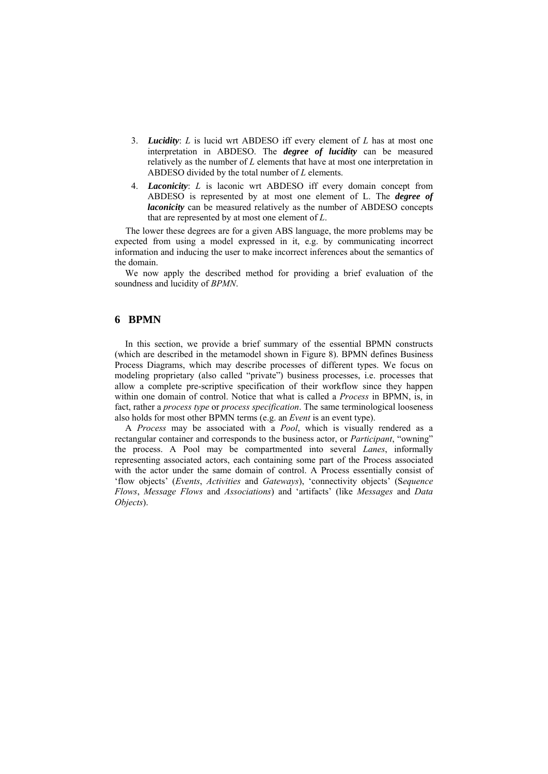- 3. *Lucidity*: *L* is lucid wrt ABDESO iff every element of *L* has at most one interpretation in ABDESO. The *degree of lucidity* can be measured relatively as the number of *L* elements that have at most one interpretation in ABDESO divided by the total number of *L* elements.
- 4. *Laconicity*: *L* is laconic wrt ABDESO iff every domain concept from ABDESO is represented by at most one element of L. The *degree of laconicity* can be measured relatively as the number of ABDESO concepts that are represented by at most one element of *L*.

The lower these degrees are for a given ABS language, the more problems may be expected from using a model expressed in it, e.g. by communicating incorrect information and inducing the user to make incorrect inferences about the semantics of the domain.

We now apply the described method for providing a brief evaluation of the soundness and lucidity of *BPMN*.

## **6 BPMN**

In this section, we provide a brief summary of the essential BPMN constructs (which are described in the metamodel shown in Figure 8). BPMN defines Business Process Diagrams, which may describe processes of different types. We focus on modeling proprietary (also called "private") business processes, i.e. processes that allow a complete pre-scriptive specification of their workflow since they happen within one domain of control. Notice that what is called a *Process* in BPMN, is, in fact, rather a *process type* or *process specification*. The same terminological looseness also holds for most other BPMN terms (e.g. an *Event* is an event type).

A *Process* may be associated with a *Pool*, which is visually rendered as a rectangular container and corresponds to the business actor, or *Participant*, "owning" the process. A Pool may be compartmented into several *Lanes*, informally representing associated actors, each containing some part of the Process associated with the actor under the same domain of control. A Process essentially consist of 'flow objects' (*Events*, *Activities* and *Gateways*), 'connectivity objects' (S*equence Flows*, *Message Flows* and *Associations*) and 'artifacts' (like *Messages* and *Data Objects*).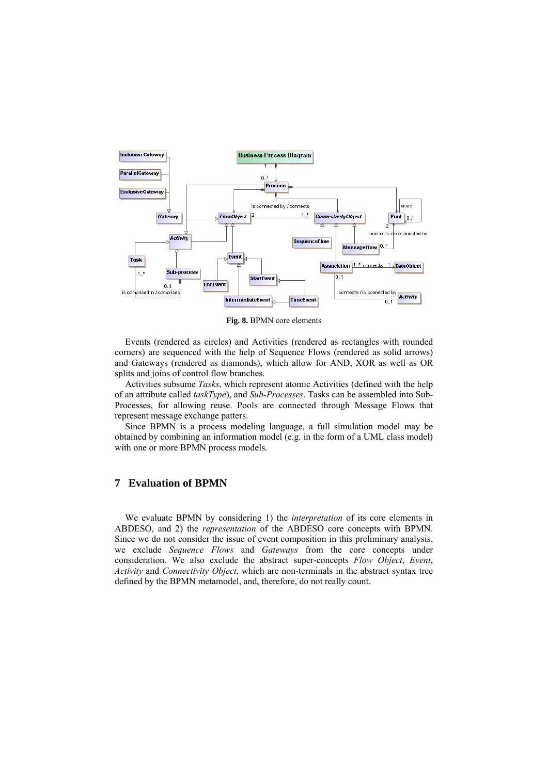

**Fig. 8.** BPMN core elements

Events (rendered as circles) and Activities (rendered as rectangles with rounded corners) are sequenced with the help of Sequence Flows (rendered as solid arrows) and Gateways (rendered as diamonds), which allow for AND, XOR as well as OR splits and joins of control flow branches.

Activities subsume *Tasks*, which represent atomic Activities (defined with the help of an attribute called *taskType*), and *Sub-Processes*. Tasks can be assembled into Sub-Processes, for allowing reuse. Pools are connected through Message Flows that represent message exchange patters.

Since BPMN is a process modeling language, a full simulation model may be obtained by combining an information model (e.g. in the form of a UML class model) with one or more BPMN process models.

# **7 Evaluation of BPMN**

We evaluate BPMN by considering 1) the *interpretation* of its core elements in ABDESO, and 2) the *representation* of the ABDESO core concepts with BPMN. Since we do not consider the issue of event composition in this preliminary analysis, we exclude *Sequence Flows* and *Gateways* from the core concepts under consideration. We also exclude the abstract super-concepts *Flow Object*, *Event*, *Activity* and *Connectivity Object*, which are non-terminals in the abstract syntax tree defined by the BPMN metamodel, and, therefore, do not really count.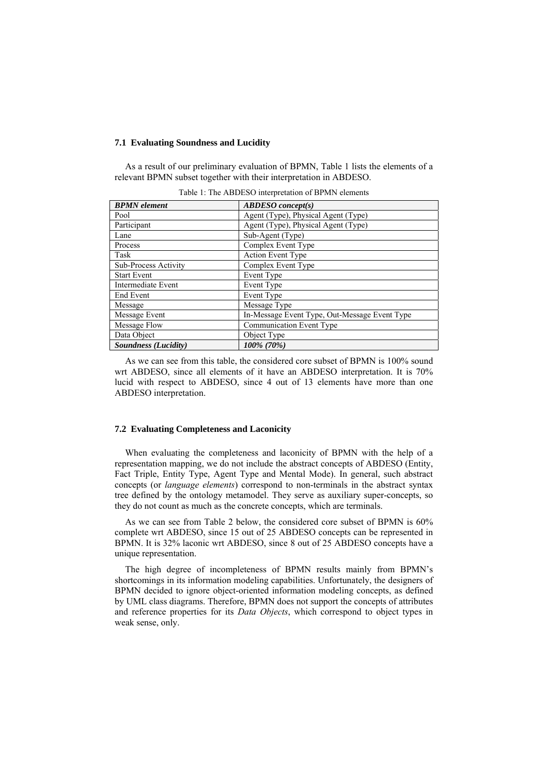#### **7.1 Evaluating Soundness and Lucidity**

As a result of our preliminary evaluation of BPMN, Table 1 lists the elements of a relevant BPMN subset together with their interpretation in ABDESO.

| <b>BPMN</b> element         | <b>ABDESO</b> concept(s)                      |
|-----------------------------|-----------------------------------------------|
| Pool                        | Agent (Type), Physical Agent (Type)           |
| Participant                 | Agent (Type), Physical Agent (Type)           |
| Lane                        | Sub-Agent (Type)                              |
| Process                     | Complex Event Type                            |
| Task                        | Action Event Type                             |
| Sub-Process Activity        | Complex Event Type                            |
| <b>Start Event</b>          | Event Type                                    |
| Intermediate Event          | Event Type                                    |
| End Event                   | Event Type                                    |
| Message                     | Message Type                                  |
| Message Event               | In-Message Event Type, Out-Message Event Type |
| Message Flow                | Communication Event Type                      |
| Data Object                 | Object Type                                   |
| <b>Soundness</b> (Lucidity) | 100% (70%)                                    |

Table 1: The ABDESO interpretation of BPMN elements

As we can see from this table, the considered core subset of BPMN is 100% sound wrt ABDESO, since all elements of it have an ABDESO interpretation. It is 70% lucid with respect to ABDESO, since 4 out of 13 elements have more than one ABDESO interpretation.

### **7.2 Evaluating Completeness and Laconicity**

When evaluating the completeness and laconicity of BPMN with the help of a representation mapping, we do not include the abstract concepts of ABDESO (Entity, Fact Triple, Entity Type, Agent Type and Mental Mode). In general, such abstract concepts (or *language elements*) correspond to non-terminals in the abstract syntax tree defined by the ontology metamodel. They serve as auxiliary super-concepts, so they do not count as much as the concrete concepts, which are terminals.

As we can see from Table 2 below, the considered core subset of BPMN is 60% complete wrt ABDESO, since 15 out of 25 ABDESO concepts can be represented in BPMN. It is 32% laconic wrt ABDESO, since 8 out of 25 ABDESO concepts have a unique representation.

The high degree of incompleteness of BPMN results mainly from BPMN's shortcomings in its information modeling capabilities. Unfortunately, the designers of BPMN decided to ignore object-oriented information modeling concepts, as defined by UML class diagrams. Therefore, BPMN does not support the concepts of attributes and reference properties for its *Data Objects*, which correspond to object types in weak sense, only.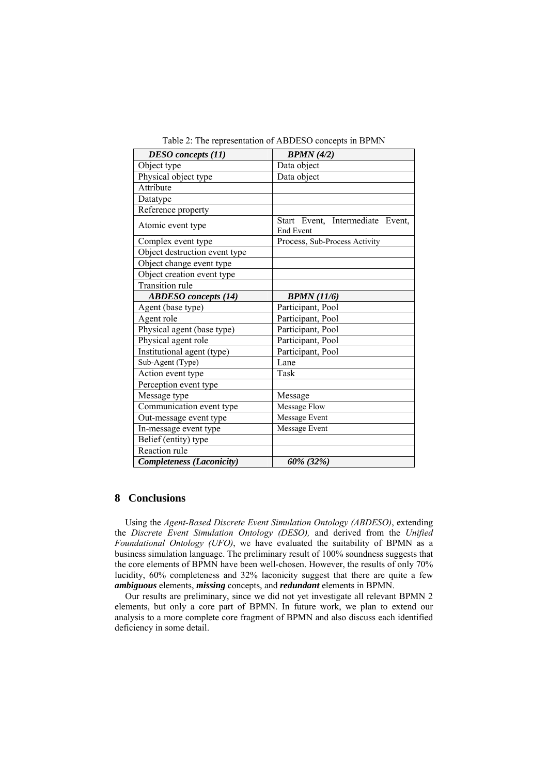| <b>DESO</b> concepts (11)        | BPMN(4/2)                                            |
|----------------------------------|------------------------------------------------------|
| Object type                      | Data object                                          |
| Physical object type             | Data object                                          |
| Attribute                        |                                                      |
| Datatype                         |                                                      |
| Reference property               |                                                      |
| Atomic event type                | Start Event, Intermediate Event,<br><b>End Event</b> |
| Complex event type               | Process, Sub-Process Activity                        |
| Object destruction event type    |                                                      |
| Object change event type         |                                                      |
| Object creation event type       |                                                      |
| <b>Transition</b> rule           |                                                      |
| <b>ABDESO</b> concepts (14)      | <b>BPMN</b> (11/6)                                   |
| Agent (base type)                | Participant, Pool                                    |
| Agent role                       | Participant, Pool                                    |
| Physical agent (base type)       | Participant, Pool                                    |
| Physical agent role              | Participant, Pool                                    |
| Institutional agent (type)       | Participant, Pool                                    |
| Sub-Agent (Type)                 | Lane                                                 |
| Action event type                | Task                                                 |
| Perception event type            |                                                      |
| Message type                     | Message                                              |
| Communication event type         | Message Flow                                         |
| Out-message event type           | Message Event                                        |
| In-message event type            | Message Event                                        |
| Belief (entity) type             |                                                      |
| Reaction rule                    |                                                      |
| <b>Completeness</b> (Laconicity) | 60% (32%)                                            |

Table 2: The representation of ABDESO concepts in BPMN

# **8 Conclusions**

Using the *Agent-Based Discrete Event Simulation Ontology (ABDESO)*, extending the *Discrete Event Simulation Ontology (DESO),* and derived from the *Unified Foundational Ontology (UFO)*, we have evaluated the suitability of BPMN as a business simulation language. The preliminary result of 100% soundness suggests that the core elements of BPMN have been well-chosen. However, the results of only 70% lucidity, 60% completeness and 32% laconicity suggest that there are quite a few *ambiguous* elements, *missing* concepts, and *redundant* elements in BPMN.

Our results are preliminary, since we did not yet investigate all relevant BPMN 2 elements, but only a core part of BPMN. In future work, we plan to extend our analysis to a more complete core fragment of BPMN and also discuss each identified deficiency in some detail.